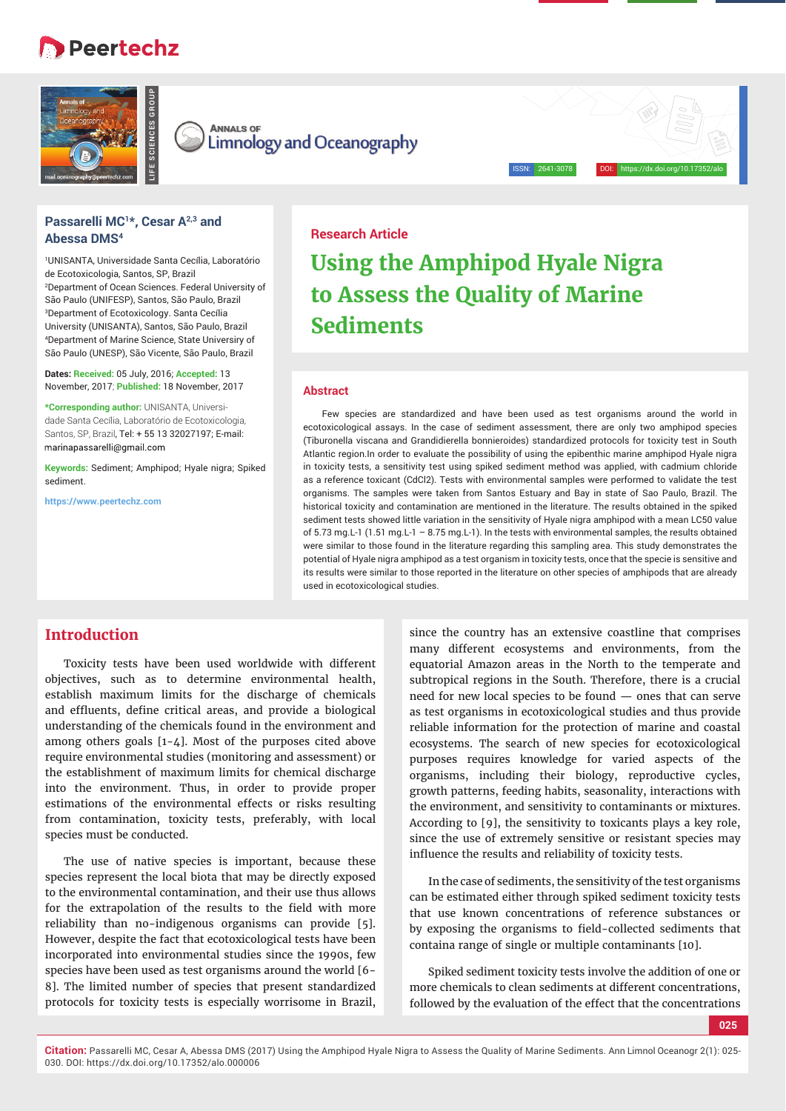# **B** Peertechz



**ANNALS OF Limnology and Oceanography** 

## **Passarelli MC1\*, Cesar A2,3 and Abessa DMS4**

1 UNISANTA, Universidade Santa Cecília, Laboratório de Ecotoxicologia, Santos, SP, Brazil 2 Department of Ocean Sciences. Federal University of São Paulo (UNIFESP), Santos, São Paulo, Brazil 3 Department of Ecotoxicology. Santa Cecília University (UNISANTA), Santos, São Paulo, Brazil 4 Department of Marine Science, State Universiry of São Paulo (UNESP), São Vicente, São Paulo, Brazil

**Dates: Received:** 05 July, 2016; **Accepted:** 13 November, 2017; **Published:** 18 November, 2017

**\*Corresponding author:** UNISANTA, Universidade Santa Cecília, Laboratório de Ecotoxicologia, Santos, SP, Brazil, Tel: + 55 13 32027197; E-mail: marinapassarelli@gmail.com

**Keywords:** Sediment; Amphipod; Hyale nigra; Spiked sediment.

**https://www.peertechz.com**

## **Research Article**

# **Using the Amphipod Hyale Nigra to Assess the Quality of Marine Sediments**

ISSN: 2641-3078 DOI: https://dx.doi.org/10.17352/alo

#### **Abstract**

Few species are standardized and have been used as test organisms around the world in ecotoxicological assays. In the case of sediment assessment, there are only two amphipod species (Tiburonella viscana and Grandidierella bonnieroides) standardized protocols for toxicity test in South Atlantic region.In order to evaluate the possibility of using the epibenthic marine amphipod Hyale nigra in toxicity tests, a sensitivity test using spiked sediment method was applied, with cadmium chloride as a reference toxicant (CdCl2). Tests with environmental samples were performed to validate the test organisms. The samples were taken from Santos Estuary and Bay in state of Sao Paulo, Brazil. The historical toxicity and contamination are mentioned in the literature. The results obtained in the spiked sediment tests showed little variation in the sensitivity of Hyale nigra amphipod with a mean LC50 value of 5.73 mg.L-1 (1.51 mg.L-1 – 8.75 mg.L-1). In the tests with environmental samples, the results obtained were similar to those found in the literature regarding this sampling area. This study demonstrates the potential of Hyale nigra amphipod as a test organism in toxicity tests, once that the specie is sensitive and its results were similar to those reported in the literature on other species of amphipods that are already used in ecotoxicological studies.

# **Introduction**

Toxicity tests have been used worldwide with different objectives, such as to determine environmental health, establish maximum limits for the discharge of chemicals and effluents, define critical areas, and provide a biological understanding of the chemicals found in the environment and among others goals [1-4]. Most of the purposes cited above require environmental studies (monitoring and assessment) or the establishment of maximum limits for chemical discharge into the environment. Thus, in order to provide proper estimations of the environmental effects or risks resulting from contamination, toxicity tests, preferably, with local species must be conducted.

The use of native species is important, because these species represent the local biota that may be directly exposed to the environmental contamination, and their use thus allows for the extrapolation of the results to the field with more reliability than no-indigenous organisms can provide [5]. However, despite the fact that ecotoxicological tests have been incorporated into environmental studies since the 1990s, few species have been used as test organisms around the world [6- 8]. The limited number of species that present standardized protocols for toxicity tests is especially worrisome in Brazil,

since the country has an extensive coastline that comprises many different ecosystems and environments, from the equatorial Amazon areas in the North to the temperate and subtropical regions in the South. Therefore, there is a crucial need for new local species to be found — ones that can serve as test organisms in ecotoxicological studies and thus provide reliable information for the protection of marine and coastal ecosystems. The search of new species for ecotoxicological purposes requires knowledge for varied aspects of the organisms, including their biology, reproductive cycles, growth patterns, feeding habits, seasonality, interactions with the environment, and sensitivity to contaminants or mixtures. According to [9], the sensitivity to toxicants plays a key role, since the use of extremely sensitive or resistant species may influence the results and reliability of toxicity tests.

In the case of sediments, the sensitivity of the test organisms can be estimated either through spiked sediment toxicity tests that use known concentrations of reference substances or by exposing the organisms to field-collected sediments that containa range of single or multiple contaminants [10].

Spiked sediment toxicity tests involve the addition of one or more chemicals to clean sediments at different concentrations, followed by the evaluation of the effect that the concentrations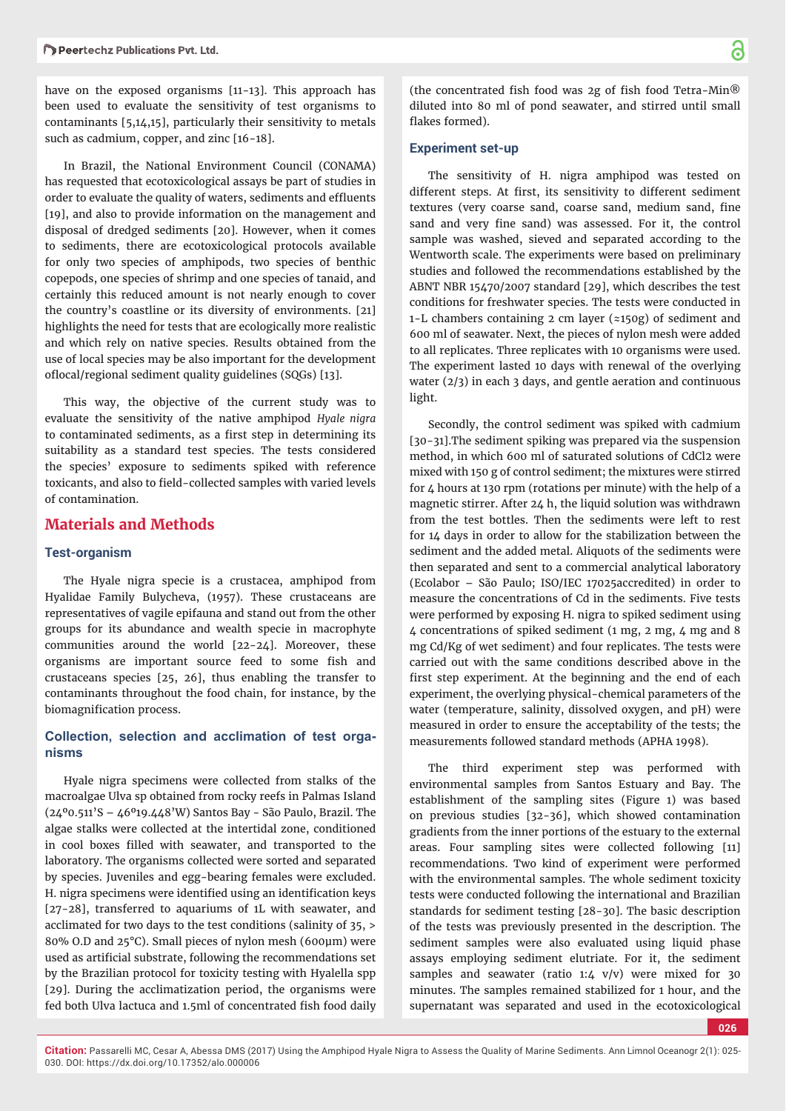have on the exposed organisms [11-13]. This approach has been used to evaluate the sensitivity of test organisms to contaminants [5,14,15], particularly their sensitivity to metals such as cadmium, copper, and zinc [16-18].

In Brazil, the National Environment Council (CONAMA) has requested that ecotoxicological assays be part of studies in order to evaluate the quality of waters, sediments and effluents [19], and also to provide information on the management and disposal of dredged sediments [20]. However, when it comes to sediments, there are ecotoxicological protocols available for only two species of amphipods, two species of benthic copepods, one species of shrimp and one species of tanaid, and certainly this reduced amount is not nearly enough to cover the country's coastline or its diversity of environments. [21] highlights the need for tests that are ecologically more realistic and which rely on native species. Results obtained from the use of local species may be also important for the development oflocal/regional sediment quality guidelines (SQGs) [13].

This way, the objective of the current study was to evaluate the sensitivity of the native amphipod *Hyale nigra*  to contaminated sediments, as a first step in determining its suitability as a standard test species. The tests considered the species' exposure to sediments spiked with reference toxicants, and also to field-collected samples with varied levels of contamination.

## **Materials and Methods**

#### **Test-organism**

The Hyale nigra specie is a crustacea, amphipod from Hyalidae Family Bulycheva, (1957). These crustaceans are representatives of vagile epifauna and stand out from the other groups for its abundance and wealth specie in macrophyte communities around the world [22-24]. Moreover, these organisms are important source feed to some fish and crustaceans species [25, 26], thus enabling the transfer to contaminants throughout the food chain, for instance, by the biomagnification process.

## **Collection, selection and acclimation of test organisms**

Hyale nigra specimens were collected from stalks of the macroalgae Ulva sp obtained from rocky reefs in Palmas Island (24º0.511'S – 46º19.448'W) Santos Bay - São Paulo, Brazil. The algae stalks were collected at the intertidal zone, conditioned in cool boxes filled with seawater, and transported to the laboratory. The organisms collected were sorted and separated by species. Juveniles and egg-bearing females were excluded. H. nigra specimens were identified using an identification keys [27-28], transferred to aquariums of 1L with seawater, and acclimated for two days to the test conditions (salinity of 35, > 80% O.D and 25°C). Small pieces of nylon mesh (600μm) were used as artificial substrate, following the recommendations set by the Brazilian protocol for toxicity testing with Hyalella spp [29]. During the acclimatization period, the organisms were fed both Ulva lactuca and 1.5ml of concentrated fish food daily

(the concentrated fish food was 2g of fish food Tetra-Min $@$ diluted into 80 ml of pond seawater, and stirred until small flakes formed).

#### **Experiment set-up**

The sensitivity of H. nigra amphipod was tested on different steps. At first, its sensitivity to different sediment textures (very coarse sand, coarse sand, medium sand, fine sand and very fine sand) was assessed. For it, the control sample was washed, sieved and separated according to the Wentworth scale. The experiments were based on preliminary studies and followed the recommendations established by the ABNT NBR 15470/2007 standard [29], which describes the test conditions for freshwater species. The tests were conducted in 1-L chambers containing 2 cm layer ( $\approx$ 150g) of sediment and 600 ml of seawater. Next, the pieces of nylon mesh were added to all replicates. Three replicates with 10 organisms were used. The experiment lasted 10 days with renewal of the overlying water (2/3) in each 3 days, and gentle aeration and continuous light.

Secondly, the control sediment was spiked with cadmium [30-31].The sediment spiking was prepared via the suspension method, in which 600 ml of saturated solutions of CdCl2 were mixed with 150 g of control sediment; the mixtures were stirred for  $\Delta$  hours at 130 rpm (rotations per minute) with the help of a magnetic stirrer. After 24 h, the liquid solution was withdrawn from the test bottles. Then the sediments were left to rest for 14 days in order to allow for the stabilization between the sediment and the added metal. Aliquots of the sediments were then separated and sent to a commercial analytical laboratory (Ecolabor – São Paulo; ISO/IEC 17025accredited) in order to measure the concentrations of Cd in the sediments. Five tests were performed by exposing H. nigra to spiked sediment using  $\Delta$  concentrations of spiked sediment (1 mg, 2 mg,  $\Delta$  mg and 8 mg Cd/Kg of wet sediment) and four replicates. The tests were carried out with the same conditions described above in the first step experiment. At the beginning and the end of each experiment, the overlying physical-chemical parameters of the water (temperature, salinity, dissolved oxygen, and pH) were measured in order to ensure the acceptability of the tests; the measurements followed standard methods (APHA 1998).

The third experiment step was performed with environmental samples from Santos Estuary and Bay. The establishment of the sampling sites (Figure 1) was based on previous studies [32-36], which showed contamination gradients from the inner portions of the estuary to the external areas. Four sampling sites were collected following [11] recommendations. Two kind of experiment were performed with the environmental samples. The whole sediment toxicity tests were conducted following the international and Brazilian standards for sediment testing [28-30]. The basic description of the tests was previously presented in the description. The sediment samples were also evaluated using liquid phase assays employing sediment elutriate. For it, the sediment samples and seawater (ratio 1:4  $v/v$ ) were mixed for 30 minutes. The samples remained stabilized for 1 hour, and the supernatant was separated and used in the ecotoxicological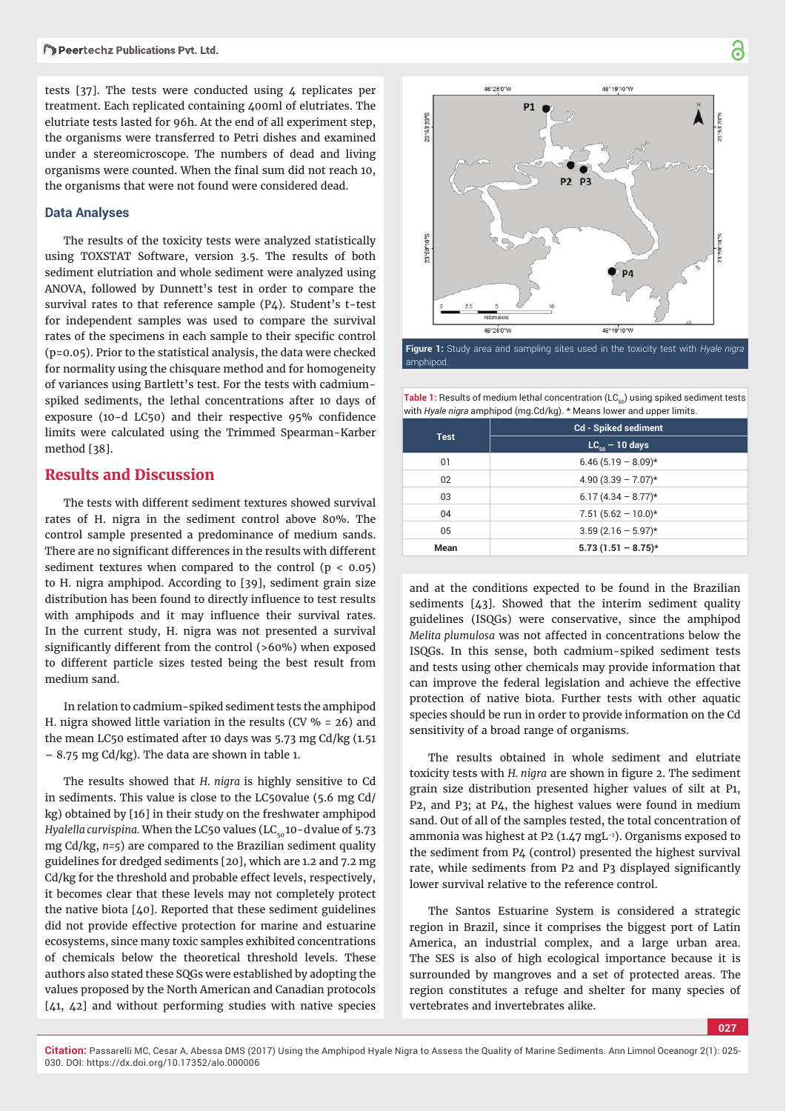tests  $[37]$ . The tests were conducted using 4 replicates per treatment. Each replicated containing 400ml of elutriates. The elutriate tests lasted for 96h. At the end of all experiment step, the organisms were transferred to Petri dishes and examined under a stereomicroscope. The numbers of dead and living organisms were counted. When the final sum did not reach 10, the organisms that were not found were considered dead.

### **Data Analyses**

The results of the toxicity tests were analyzed statistically using TOXSTAT Software, version 3.5. The results of both sediment elutriation and whole sediment were analyzed using ANOVA, followed by Dunnett's test in order to compare the survival rates to that reference sample (P4). Student's t-test for independent samples was used to compare the survival rates of the specimens in each sample to their specific control (p=0.05). Prior to the statistical analysis, the data were checked for normality using the chisquare method and for homogeneity of variances using Bartlett's test. For the tests with cadmiumspiked sediments, the lethal concentrations after 10 days of exposure (10-d LC50) and their respective  $95%$  confidence limits were calculated using the Trimmed Spearman-Karber method [38].

# **Results and Discussion**

The tests with different sediment textures showed survival rates of H. nigra in the sediment control above 80%. The control sample presented a predominance of medium sands. There are no significant differences in the results with different sediment textures when compared to the control  $(p < 0.05)$ to H. nigra amphipod. According to [39], sediment grain size distribution has been found to directly influence to test results with amphipods and it may influence their survival rates. In the current study, H. nigra was not presented a survival significantly different from the control (>60%) when exposed to different particle sizes tested being the best result from medium sand.

In relation to cadmium-spiked sediment tests the amphipod H. nigra showed little variation in the results (CV  $% = 26$ ) and the mean LC50 estimated after 10 days was 5.73 mg Cd/kg (1.51 – 8.75 mg Cd/kg). The data are shown in table 1.

The results showed that *H. nigra* is highly sensitive to Cd in sediments. This value is close to the LC50value (5.6 mg Cd/ kg) obtained by [16] in their study on the freshwater amphipod *Hyalella curvispina.* When the LC50 values (LC<sub>50</sub>10-dvalue of 5.73 mg Cd/kg, *n=5*) are compared to the Brazilian sediment quality guidelines for dredged sediments [20], which are 1.2 and 7.2 mg Cd/kg for the threshold and probable effect levels, respectively, it becomes clear that these levels may not completely protect the native biota [40]. Reported that these sediment guidelines did not provide effective protection for marine and estuarine ecosystems, since many toxic samples exhibited concentrations of chemicals below the theoretical threshold levels. These authors also stated these SQGs were established by adopting the values proposed by the North American and Canadian protocols [41, 42] and without performing studies with native species



**Figure 1:** Study area and sampling sites used in the toxicity test with *Hyale nigra*  amphipod.

Table 1: Results of medium lethal concentration (LC<sub>50</sub>) using spiked sediment tests with *Hyale nigra* amphipod (mg.Cd/kg). \* Means lower and upper limits.

| <b>Test</b> | <b>Cd - Spiked sediment</b> |
|-------------|-----------------------------|
|             | $LC_{50}$ – 10 days         |
| 01          | $6.46(5.19 - 8.09)*$        |
| 02          | $4.90(3.39 - 7.07)*$        |
| 03          | $6.17(4.34 - 8.77)$ *       |
| 04          | $7.51(5.62 - 10.0)*$        |
| 05          | $3.59(2.16 - 5.97)$ *       |
| Mean        | $5.73(1.51 - 8.75)^{*}$     |

and at the conditions expected to be found in the Brazilian sediments  $[43]$ . Showed that the interim sediment quality guidelines (ISQGs) were conservative, since the amphipod *Melita plumulosa* was not affected in concentrations below the ISQGs. In this sense, both cadmium-spiked sediment tests and tests using other chemicals may provide information that can improve the federal legislation and achieve the effective protection of native biota. Further tests with other aquatic species should be run in order to provide information on the Cd sensitivity of a broad range of organisms.

The results obtained in whole sediment and elutriate toxicity tests with *H. nigra* are shown in figure 2. The sediment grain size distribution presented higher values of silt at P1, P2, and P3; at P4, the highest values were found in medium sand. Out of all of the samples tested, the total concentration of ammonia was highest at P2 (1.47 mgL-1). Organisms exposed to the sediment from P4 (control) presented the highest survival rate, while sediments from P2 and P3 displayed significantly lower survival relative to the reference control.

The Santos Estuarine System is considered a strategic region in Brazil, since it comprises the biggest port of Latin America, an industrial complex, and a large urban area. The SES is also of high ecological importance because it is surrounded by mangroves and a set of protected areas. The region constitutes a refuge and shelter for many species of vertebrates and invertebrates alike.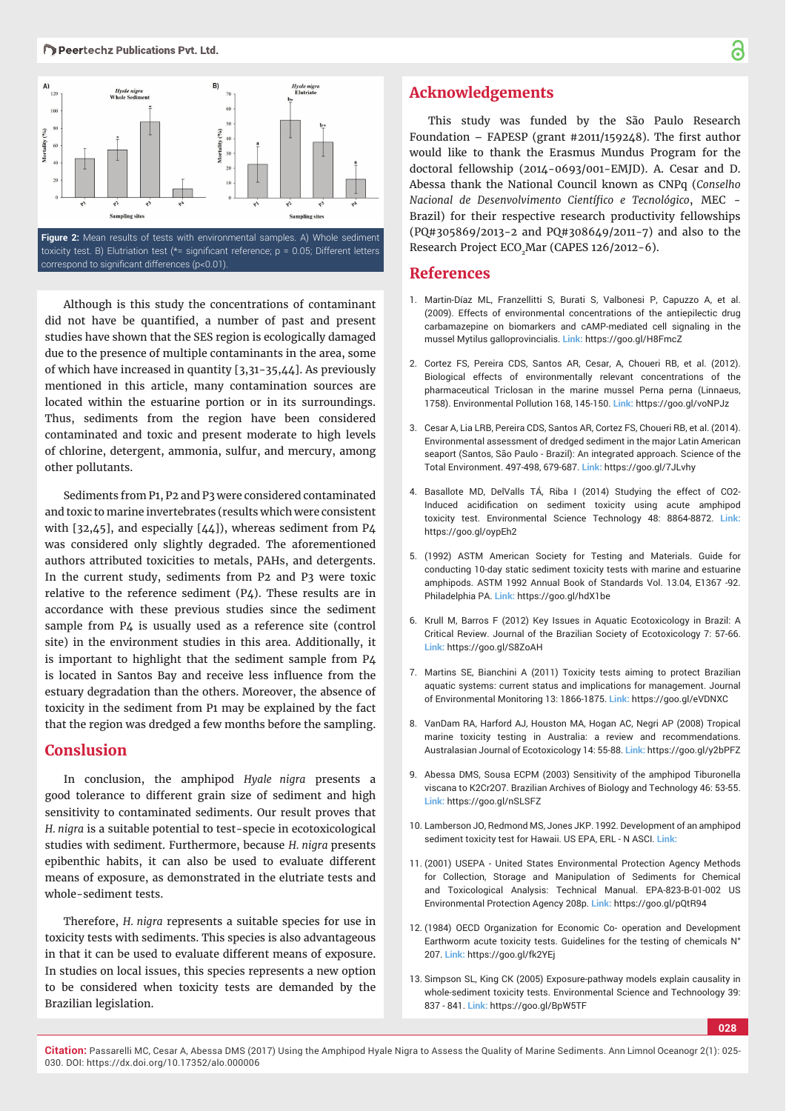

toxicity test. B) Elutriation test ( $*$ = significant reference; p = 0.05; Different letters correspond to significant differences (p<0.01).

Although is this study the concentrations of contaminant did not have be quantified, a number of past and present studies have shown that the SES region is ecologically damaged due to the presence of multiple contaminants in the area, some of which have increased in quantity [3,31-35,44]. As previously mentioned in this article, many contamination sources are located within the estuarine portion or in its surroundings. Thus, sediments from the region have been considered contaminated and toxic and present moderate to high levels of chlorine, detergent, ammonia, sulfur, and mercury, among other pollutants.

Sediments from P1, P2 and P3 were considered contaminated and toxic to marine invertebrates (results which were consistent with [32,45], and especially [44]), whereas sediment from P4 was considered only slightly degraded. The aforementioned authors attributed toxicities to metals, PAHs, and detergents. In the current study, sediments from P2 and P3 were toxic relative to the reference sediment  $(P_4)$ . These results are in accordance with these previous studies since the sediment sample from P4 is usually used as a reference site (control site) in the environment studies in this area. Additionally, it is important to highlight that the sediment sample from P4 is located in Santos Bay and receive less influence from the estuary degradation than the others. Moreover, the absence of toxicity in the sediment from P1 may be explained by the fact that the region was dredged a few months before the sampling.

# **Conslusion**

In conclusion, the amphipod *Hyale nigra* presents a good tolerance to different grain size of sediment and high sensitivity to contaminated sediments. Our result proves that *H. nigra* is a suitable potential to test-specie in ecotoxicological studies with sediment. Furthermore, because *H. nigra* presents epibenthic habits, it can also be used to evaluate different means of exposure, as demonstrated in the elutriate tests and whole-sediment tests.

Therefore, *H. nigra* represents a suitable species for use in toxicity tests with sediments. This species is also advantageous in that it can be used to evaluate different means of exposure. In studies on local issues, this species represents a new option to be considered when toxicity tests are demanded by the Brazilian legislation.

# **Acknowledgements**

This study was funded by the São Paulo Research Foundation – FAPESP (grant #2011/159248). The first author would like to thank the Erasmus Mundus Program for the doctoral fellowship (2014-0693/001-EMJD). A. Cesar and D. Abessa thank the National Council known as CNPq (*Conselho Nacional de Desenvolvimento Científico e Tecnológico*, MEC -Brazil) for their respective research productivity fellowships (PQ#305869/2013-2 and PQ#308649/2011-7) and also to the Research Project ECO<sub>2</sub>Mar (CAPES 126/2012-6).

## **References**

- 1. Martin-Díaz ML, Franzellitti S, Burati S, Valbonesi P, Capuzzo A, et al. (2009). Effects of environmental concentrations of the antiepilectic drug carbamazepine on biomarkers and cAMP-mediated cell signaling in the mussel Mytilus galloprovincialis. **Link:** https://goo.gl/H8FmcZ
- 2. Cortez FS, Pereira CDS, Santos AR, Cesar, A, Choueri RB, et al. (2012). Biological effects of environmentally relevant concentrations of the pharmaceutical Triclosan in the marine mussel Perna perna (Linnaeus, 1758). Environmental Pollution 168, 145-150. **Link:** https://goo.gl/voNPJz
- 3. Cesar A, Lia LRB, Pereira CDS, Santos AR, Cortez FS, Choueri RB, et al. (2014). Environmental assessment of dredged sediment in the major Latin American seaport (Santos, São Paulo - Brazil): An integrated approach. Science of the Total Environment. 497-498, 679-687. **Link:** https://goo.gl/7JLvhy
- 4. Basallote MD, DelValls TÁ, Riba I (2014) Studying the effect of CO2- Induced acidification on sediment toxicity using acute amphipod toxicity test. Environmental Science Technology 48: 8864-8872. **Link:** https://goo.gl/oypEh2
- 5. (1992) ASTM American Society for Testing and Materials. Guide for conducting 10-day static sediment toxicity tests with marine and estuarine amphipods. ASTM 1992 Annual Book of Standards Vol. 13.04, E1367 -92. Philadelphia PA. **Link:** https://goo.gl/hdX1be
- 6. Krull M, Barros F (2012) Key Issues in Aquatic Ecotoxicology in Brazil: A Critical Review. Journal of the Brazilian Society of Ecotoxicology 7: 57-66. **Link:** https://goo.gl/S8ZoAH
- 7. Martins SE, Bianchini A (2011) Toxicity tests aiming to protect Brazilian aquatic systems: current status and implications for management. Journal of Environmental Monitoring 13: 1866-1875. **Link:** https://goo.gl/eVDNXC
- 8. VanDam RA, Harford AJ, Houston MA, Hogan AC, Negri AP (2008) Tropical marine toxicity testing in Australia: a review and recommendations. Australasian Journal of Ecotoxicology 14: 55-88. **Link:** https://goo.gl/y2bPFZ
- 9. Abessa DMS, Sousa ECPM (2003) Sensitivity of the amphipod Tiburonella viscana to K2Cr2O7. Brazilian Archives of Biology and Technology 46: 53-55. **Link:** https://goo.gl/nSLSFZ
- 10. Lamberson JO, Redmond MS, Jones JKP. 1992. Development of an amphipod sediment toxicity test for Hawaii. US EPA, ERL - N ASCI. **Link:**
- 11. (2001) USEPA United States Environmental Protection Agency Methods for Collection, Storage and Manipulation of Sediments for Chemical and Toxicological Analysis: Technical Manual. EPA-823-B-01-002 US Environmental Protection Agency 208p. **Link:** https://goo.gl/pQtR94
- 12. (1984) OECD Organization for Economic Co- operation and Development Earthworm acute toxicity tests. Guidelines for the testing of chemicals N° 207. **Link:** https://goo.gl/fk2YEj
- 13. Simpson SL, King CK (2005) Exposure-pathway models explain causality in whole-sediment toxicity tests. Environmental Science and Technoology 39: 837 - 841. **Link:** https://goo.gl/BpW5TF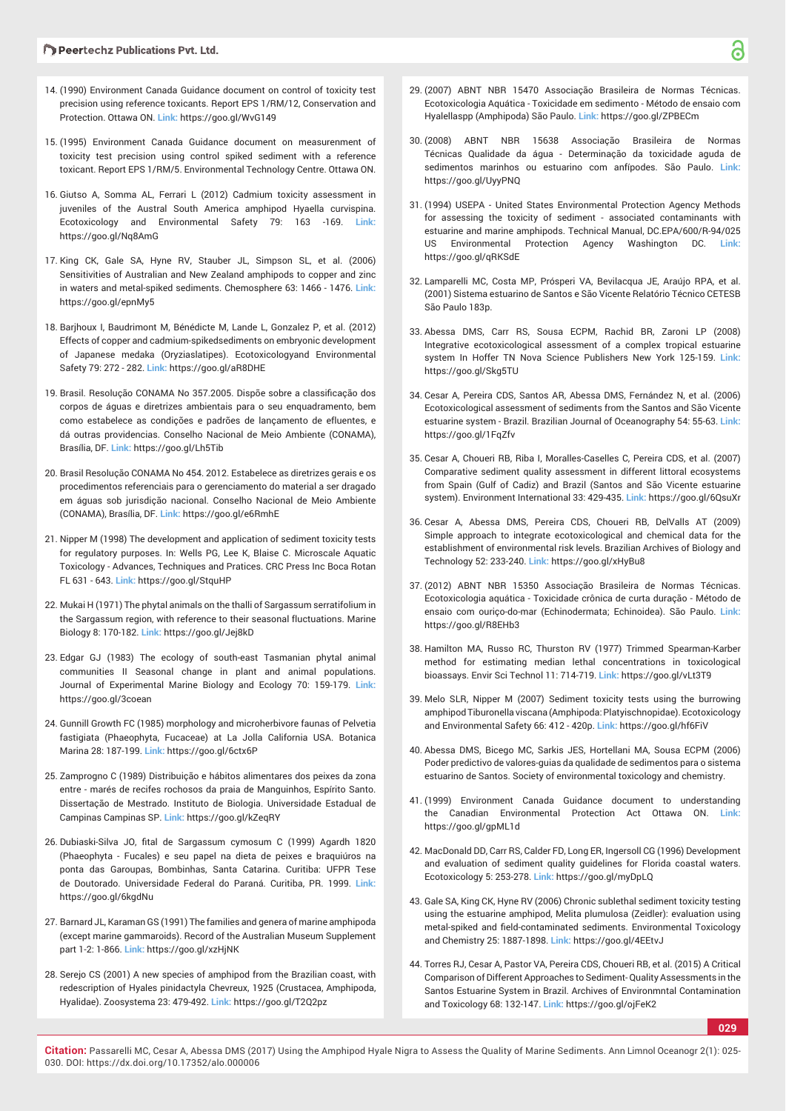- 14. (1990) Environment Canada Guidance document on control of toxicity test precision using reference toxicants. Report EPS 1/RM/12, Conservation and Protection. Ottawa ON. **Link:** https://goo.gl/WvG149
- 15. (1995) Environment Canada Guidance document on measurenment of toxicity test precision using control spiked sediment with a reference toxicant. Report EPS 1/RM/5. Environmental Technology Centre. Ottawa ON.
- 16. Giutso A, Somma AL, Ferrari L (2012) Cadmium toxicity assessment in juveniles of the Austral South America amphipod Hyaella curvispina. Ecotoxicology and Environmental Safety 79: 163 -169. **Link:** https://goo.gl/Nq8AmG
- 17. King CK, Gale SA, Hyne RV, Stauber JL, Simpson SL, et al. (2006) Sensitivities of Australian and New Zealand amphipods to copper and zinc in waters and metal-spiked sediments. Chemosphere 63: 1466 - 1476. **Link:** https://goo.gl/epnMy5
- 18. Barjhoux I, Baudrimont M, Bénédicte M, Lande L, Gonzalez P, et al. (2012) Effects of copper and cadmium-spikedsediments on embryonic development of Japanese medaka (Oryziaslatipes). Ecotoxicologyand Environmental Safety 79: 272 - 282. **Link:** https://goo.gl/aR8DHE
- 19. Brasil. Resolução CONAMA No 357.2005. Dispõe sobre a classificação dos corpos de águas e diretrizes ambientais para o seu enquadramento, bem como estabelece as condições e padrões de lançamento de efluentes, e dá outras providencias. Conselho Nacional de Meio Ambiente (CONAMA), Brasília, DF. **Link:** https://goo.gl/Lh5Tib
- 20. Brasil Resolução CONAMA No 454. 2012. Estabelece as diretrizes gerais e os procedimentos referenciais para o gerenciamento do material a ser dragado em águas sob jurisdição nacional. Conselho Nacional de Meio Ambiente (CONAMA), Brasília, DF. **Link:** https://goo.gl/e6RmhE
- 21. Nipper M (1998) The development and application of sediment toxicity tests for regulatory purposes. In: Wells PG, Lee K, Blaise C. Microscale Aquatic Toxicology - Advances, Techniques and Pratices. CRC Press Inc Boca Rotan FL 631 - 643. **Link:** https://goo.gl/StquHP
- 22. Mukai H (1971) The phytal animals on the thalli of Sargassum serratifolium in the Sargassum region, with reference to their seasonal fluctuations. Marine Biology 8: 170-182. **Link:** https://goo.gl/Jej8kD
- 23. Edgar GJ (1983) The ecology of south-east Tasmanian phytal animal communities II Seasonal change in plant and animal populations. Journal of Experimental Marine Biology and Ecology 70: 159-179. **Link:** https://goo.gl/3coean
- 24. Gunnill Growth FC (1985) morphology and microherbivore faunas of Pelvetia fastigiata (Phaeophyta, Fucaceae) at La Jolla California USA. Botanica Marina 28: 187-199. **Link:** https://goo.gl/6ctx6P
- 25. Zamprogno C (1989) Distribuição e hábitos alimentares dos peixes da zona entre - marés de recifes rochosos da praia de Manguinhos, Espírito Santo. Dissertação de Mestrado. Instituto de Biologia. Universidade Estadual de Campinas Campinas SP. **Link:** https://goo.gl/kZeqRY
- 26. Dubiaski-Silva JO, fital de Sargassum cymosum C (1999) Agardh 1820 (Phaeophyta - Fucales) e seu papel na dieta de peixes e braquiúros na ponta das Garoupas, Bombinhas, Santa Catarina. Curitiba: UFPR Tese de Doutorado. Universidade Federal do Paraná. Curitiba, PR. 1999. **Link:** https://goo.gl/6kgdNu
- 27. Barnard JL, Karaman GS (1991) The families and genera of marine amphipoda (except marine gammaroids). Record of the Australian Museum Supplement part 1-2: 1-866. **Link:** https://goo.gl/xzHjNK
- 28. Serejo CS (2001) A new species of amphipod from the Brazilian coast, with redescription of Hyales pinidactyla Chevreux, 1925 (Crustacea, Amphipoda, Hyalidae). Zoosystema 23: 479-492. **Link:** https://goo.gl/T2Q2pz
- 29. (2007) ABNT NBR 15470 Associação Brasileira de Normas Técnicas. Ecotoxicologia Aquática - Toxicidade em sedimento - Método de ensaio com Hyalellaspp (Amphipoda) São Paulo. **Link:** https://goo.gl/ZPBECm
- 30. (2008) ABNT NBR 15638 Associação Brasileira de Normas Técnicas Qualidade da água - Determinação da toxicidade aguda de sedimentos marinhos ou estuarino com anfípodes. São Paulo. **Link:** https://goo.gl/UyyPNQ
- 31. (1994) USEPA United States Environmental Protection Agency Methods for assessing the toxicity of sediment - associated contaminants with estuarine and marine amphipods. Technical Manual, DC.EPA/600/R-94/025 US Environmental Protection Agency Washington DC. **Link:** https://goo.gl/qRKSdE
- 32. Lamparelli MC, Costa MP, Prósperi VA, Bevilacqua JE, Araújo RPA, et al. (2001) Sistema estuarino de Santos e São Vicente Relatório Técnico CETESB São Paulo 183p.
- 33. Abessa DMS, Carr RS, Sousa ECPM, Rachid BR, Zaroni LP (2008) Integrative ecotoxicological assessment of a complex tropical estuarine system In Hoffer TN Nova Science Publishers New York 125-159. **Link:** https://goo.gl/Skg5TU
- 34. Cesar A, Pereira CDS, Santos AR, Abessa DMS, Fernández N, et al. (2006) Ecotoxicological assessment of sediments from the Santos and São Vicente estuarine system - Brazil. Brazilian Journal of Oceanography 54: 55-63. **Link:** https://goo.gl/1FqZfv
- 35. Cesar A, Choueri RB, Riba I, Moralles-Caselles C, Pereira CDS, et al. (2007) Comparative sediment quality assessment in different littoral ecosystems from Spain (Gulf of Cadiz) and Brazil (Santos and São Vicente estuarine system). Environment International 33: 429-435. **Link:** https://goo.gl/6QsuXr
- 36. Cesar A, Abessa DMS, Pereira CDS, Choueri RB, DelValls AT (2009) Simple approach to integrate ecotoxicological and chemical data for the establishment of environmental risk levels. Brazilian Archives of Biology and Technology 52: 233-240. **Link:** https://goo.gl/xHyBu8
- 37. (2012) ABNT NBR 15350 Associação Brasileira de Normas Técnicas. Ecotoxicologia aquática - Toxicidade crônica de curta duração - Método de ensaio com ouriço-do-mar (Echinodermata; Echinoidea). São Paulo. **Link:** https://goo.gl/R8EHb3
- 38. Hamilton MA, Russo RC, Thurston RV (1977) Trimmed Spearman-Karber method for estimating median lethal concentrations in toxicological bioassays. Envir Sci Technol 11: 714-719. **Link:** https://goo.gl/vLt3T9
- 39. Melo SLR, Nipper M (2007) Sediment toxicity tests using the burrowing amphipod Tiburonella viscana (Amphipoda: Platyischnopidae). Ecotoxicology and Environmental Safety 66: 412 - 420p. **Link:** https://goo.gl/hf6FiV
- 40. Abessa DMS, Bicego MC, Sarkis JES, Hortellani MA, Sousa ECPM (2006) Poder predictivo de valores-guias da qualidade de sedimentos para o sistema estuarino de Santos. Society of environmental toxicology and chemistry.
- 41. (1999) Environment Canada Guidance document to understanding the Canadian Environmental Protection Act Ottawa ON. **Link:** https://goo.gl/gpML1d
- 42. MacDonald DD, Carr RS, Calder FD, Long ER, Ingersoll CG (1996) Development and evaluation of sediment quality guidelines for Florida coastal waters. Ecotoxicology 5: 253-278. **Link:** https://goo.gl/myDpLQ
- 43. Gale SA, King CK, Hyne RV (2006) Chronic sublethal sediment toxicity testing using the estuarine amphipod, Melita plumulosa (Zeidler): evaluation using metal-spiked and field-contaminated sediments. Environmental Toxicology and Chemistry 25: 1887-1898. **Link:** https://goo.gl/4EEtvJ
- 44. Torres RJ, Cesar A, Pastor VA, Pereira CDS, Choueri RB, et al. (2015) A Critical Comparison of Different Approaches to Sediment- Quality Assessments in the Santos Estuarine System in Brazil. Archives of Environmntal Contamination and Toxicology 68: 132-147. **Link:** https://goo.gl/ojFeK2